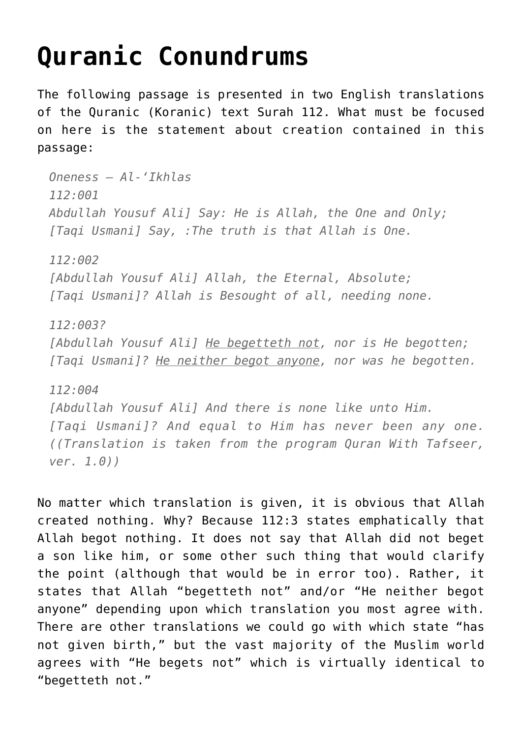## **[Quranic Conundrums](http://reproachofmen.org/apologetics/quranic-conundrums/)**

The following passage is presented in two English translations of the Quranic (Koranic) text Surah 112. What must be focused on here is the statement about creation contained in this passage:

*Oneness – Al-'Ikhlas 112:001 Abdullah Yousuf Ali] Say: He is Allah, the One and Only; [Taqi Usmani] Say, :The truth is that Allah is One. 112:002 [Abdullah Yousuf Ali] Allah, the Eternal, Absolute; [Taqi Usmani]? Allah is Besought of all, needing none. 112:003? [Abdullah Yousuf Ali] He begetteth not, nor is He begotten; [Taqi Usmani]? He neither begot anyone, nor was he begotten. 112:004 [Abdullah Yousuf Ali] And there is none like unto Him.*

*[Taqi Usmani]? And equal to Him has never been any one. ((Translation is taken from the program Quran With Tafseer, ver. 1.0))*

No matter which translation is given, it is obvious that Allah created nothing. Why? Because 112:3 states emphatically that Allah begot nothing. It does not say that Allah did not beget a son like him, or some other such thing that would clarify the point (although that would be in error too). Rather, it states that Allah "begetteth not" and/or "He neither begot anyone" depending upon which translation you most agree with. There are other translations we could go with which state "has not given birth," but the vast majority of the Muslim world agrees with "He begets not" which is virtually identical to "begetteth not."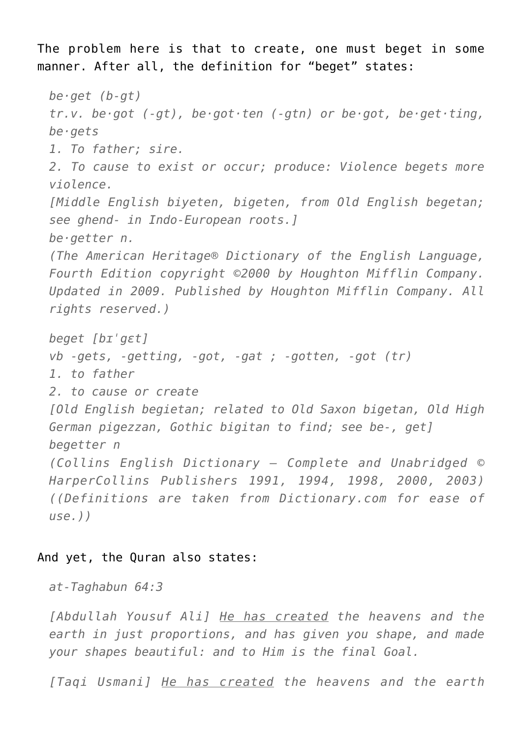The problem here is that to create, one must beget in some manner. After all, the definition for "beget" states:

```
be·get (b-gt)
tr.v. be·got (-gt), be·got·ten (-gtn) or be·got, be·get·ting,
be·gets
1. To father; sire.
2. To cause to exist or occur; produce: Violence begets more
violence.
[Middle English biyeten, bigeten, from Old English begetan;
see ghend- in Indo-European roots.]
be·getter n.
(The American Heritage® Dictionary of the English Language,
Fourth Edition copyright ©2000 by Houghton Mifflin Company.
Updated in 2009. Published by Houghton Mifflin Company. All
rights reserved.)
beget [bɪˈgɛt]
vb -gets, -getting, -got, -gat ; -gotten, -got (tr)
1. to father
2. to cause or create
[Old English begietan; related to Old Saxon bigetan, Old High
German pigezzan, Gothic bigitan to find; see be-, get]
begetter n
(Collins English Dictionary – Complete and Unabridged ©
HarperCollins Publishers 1991, 1994, 1998, 2000, 2003)
((Definitions are taken from Dictionary.com for ease of
use.))
```
## And yet, the Quran also states:

*at-Taghabun 64:3*

*[Abdullah Yousuf Ali] He has created the heavens and the earth in just proportions, and has given you shape, and made your shapes beautiful: and to Him is the final Goal.*

*[Taqi Usmani] He has created the heavens and the earth*